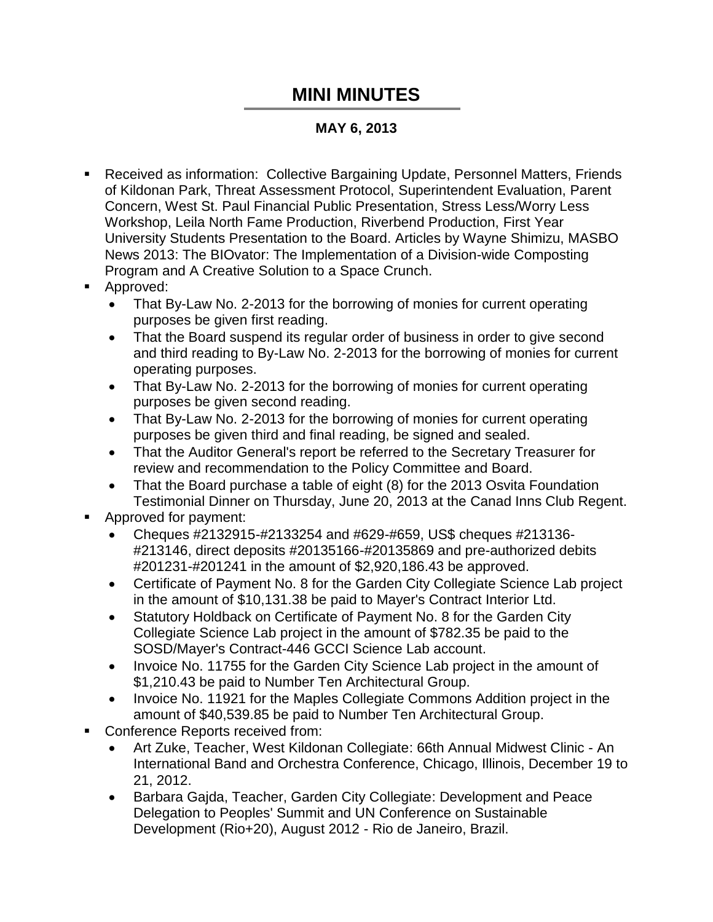## **MINI MINUTES**

## **MAY 6, 2013**

- Received as information: Collective Bargaining Update, Personnel Matters, Friends of Kildonan Park, Threat Assessment Protocol, Superintendent Evaluation, Parent Concern, West St. Paul Financial Public Presentation, Stress Less/Worry Less Workshop, Leila North Fame Production, Riverbend Production, First Year University Students Presentation to the Board. Articles by Wayne Shimizu, MASBO News 2013: The BIOvator: The Implementation of a Division-wide Composting Program and A Creative Solution to a Space Crunch.
- **Approved:** 
	- That By-Law No. 2-2013 for the borrowing of monies for current operating purposes be given first reading.
	- That the Board suspend its regular order of business in order to give second and third reading to By-Law No. 2-2013 for the borrowing of monies for current operating purposes.
	- That By-Law No. 2-2013 for the borrowing of monies for current operating purposes be given second reading.
	- That By-Law No. 2-2013 for the borrowing of monies for current operating purposes be given third and final reading, be signed and sealed.
	- That the Auditor General's report be referred to the Secretary Treasurer for review and recommendation to the Policy Committee and Board.
	- That the Board purchase a table of eight (8) for the 2013 Osvita Foundation Testimonial Dinner on Thursday, June 20, 2013 at the Canad Inns Club Regent.
- Approved for payment:
	- Cheques #2132915-#2133254 and #629-#659, US\$ cheques #213136- #213146, direct deposits #20135166-#20135869 and pre-authorized debits #201231-#201241 in the amount of \$2,920,186.43 be approved.
	- Certificate of Payment No. 8 for the Garden City Collegiate Science Lab project in the amount of \$10,131.38 be paid to Mayer's Contract Interior Ltd.
	- Statutory Holdback on Certificate of Payment No. 8 for the Garden City Collegiate Science Lab project in the amount of \$782.35 be paid to the SOSD/Mayer's Contract-446 GCCI Science Lab account.
	- Invoice No. 11755 for the Garden City Science Lab project in the amount of \$1,210.43 be paid to Number Ten Architectural Group.
	- Invoice No. 11921 for the Maples Collegiate Commons Addition project in the amount of \$40,539.85 be paid to Number Ten Architectural Group.
- Conference Reports received from:
	- Art Zuke, Teacher, West Kildonan Collegiate: 66th Annual Midwest Clinic An International Band and Orchestra Conference, Chicago, Illinois, December 19 to 21, 2012.
	- Barbara Gajda, Teacher, Garden City Collegiate: Development and Peace Delegation to Peoples' Summit and UN Conference on Sustainable Development (Rio+20), August 2012 - Rio de Janeiro, Brazil.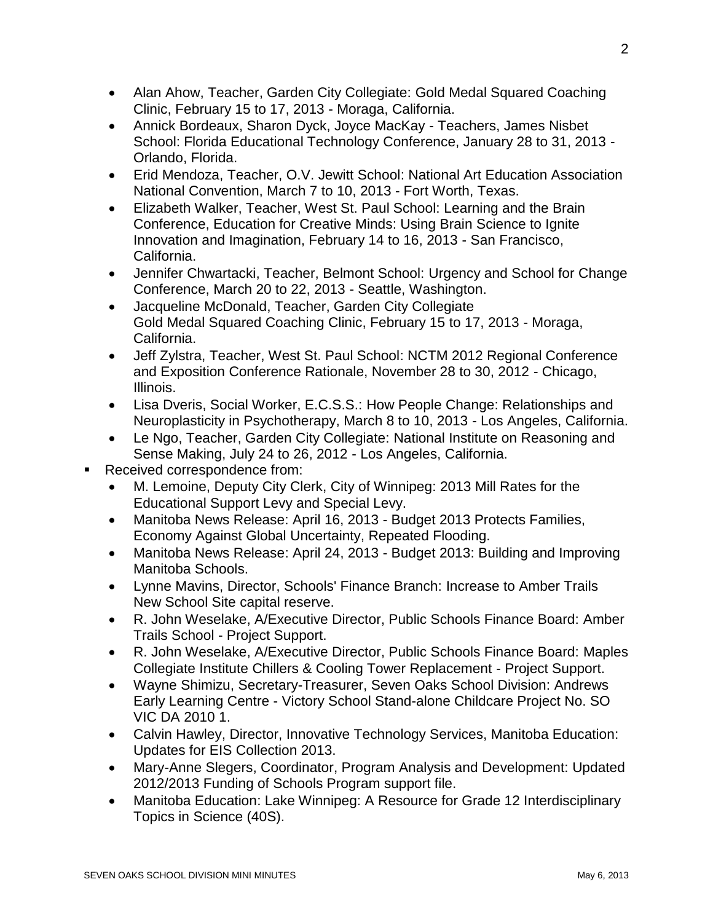- Alan Ahow, Teacher, Garden City Collegiate: Gold Medal Squared Coaching Clinic, February 15 to 17, 2013 - Moraga, California.
- Annick Bordeaux, Sharon Dyck, Joyce MacKay Teachers, James Nisbet School: Florida Educational Technology Conference, January 28 to 31, 2013 - Orlando, Florida.
- Erid Mendoza, Teacher, O.V. Jewitt School: National Art Education Association National Convention, March 7 to 10, 2013 - Fort Worth, Texas.
- Elizabeth Walker, Teacher, West St. Paul School: Learning and the Brain Conference, Education for Creative Minds: Using Brain Science to Ignite Innovation and Imagination, February 14 to 16, 2013 - San Francisco, California.
- Jennifer Chwartacki, Teacher, Belmont School: Urgency and School for Change Conference, March 20 to 22, 2013 - Seattle, Washington.
- Jacqueline McDonald, Teacher, Garden City Collegiate Gold Medal Squared Coaching Clinic, February 15 to 17, 2013 - Moraga, California.
- Jeff Zylstra, Teacher, West St. Paul School: NCTM 2012 Regional Conference and Exposition Conference Rationale, November 28 to 30, 2012 - Chicago, Illinois.
- Lisa Dveris, Social Worker, E.C.S.S.: How People Change: Relationships and Neuroplasticity in Psychotherapy, March 8 to 10, 2013 - Los Angeles, California.
- Le Ngo, Teacher, Garden City Collegiate: National Institute on Reasoning and Sense Making, July 24 to 26, 2012 - Los Angeles, California.
- Received correspondence from:
	- M. Lemoine, Deputy City Clerk, City of Winnipeg: 2013 Mill Rates for the Educational Support Levy and Special Levy.
	- Manitoba News Release: April 16, 2013 Budget 2013 Protects Families, Economy Against Global Uncertainty, Repeated Flooding.
	- Manitoba News Release: April 24, 2013 Budget 2013: Building and Improving Manitoba Schools.
	- Lynne Mavins, Director, Schools' Finance Branch: Increase to Amber Trails New School Site capital reserve.
	- R. John Weselake, A/Executive Director, Public Schools Finance Board: Amber Trails School - Project Support.
	- R. John Weselake, A/Executive Director, Public Schools Finance Board: Maples Collegiate Institute Chillers & Cooling Tower Replacement - Project Support.
	- Wayne Shimizu, Secretary-Treasurer, Seven Oaks School Division: Andrews Early Learning Centre - Victory School Stand-alone Childcare Project No. SO VIC DA 2010 1.
	- Calvin Hawley, Director, Innovative Technology Services, Manitoba Education: Updates for EIS Collection 2013.
	- Mary-Anne Slegers, Coordinator, Program Analysis and Development: Updated 2012/2013 Funding of Schools Program support file.
	- Manitoba Education: Lake Winnipeg: A Resource for Grade 12 Interdisciplinary Topics in Science (40S).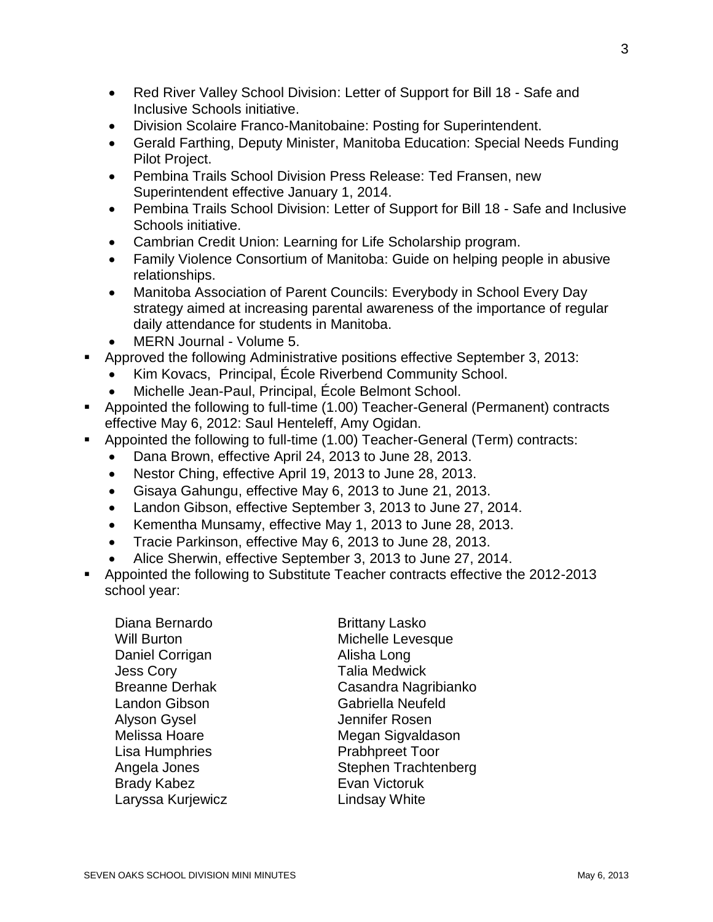- Red River Valley School Division: Letter of Support for Bill 18 Safe and Inclusive Schools initiative.
- Division Scolaire Franco-Manitobaine: Posting for Superintendent.
- Gerald Farthing, Deputy Minister, Manitoba Education: Special Needs Funding Pilot Project.
- Pembina Trails School Division Press Release: Ted Fransen, new Superintendent effective January 1, 2014.
- Pembina Trails School Division: Letter of Support for Bill 18 Safe and Inclusive Schools initiative.
- Cambrian Credit Union: Learning for Life Scholarship program.
- Family Violence Consortium of Manitoba: Guide on helping people in abusive relationships.
- Manitoba Association of Parent Councils: Everybody in School Every Day strategy aimed at increasing parental awareness of the importance of regular daily attendance for students in Manitoba.
- MERN Journal Volume 5.
- Approved the following Administrative positions effective September 3, 2013:
	- Kim Kovacs, Principal, École Riverbend Community School.
	- Michelle Jean-Paul, Principal, École Belmont School.
- Appointed the following to full-time (1.00) Teacher-General (Permanent) contracts effective May 6, 2012: Saul Henteleff, Amy Ogidan.
- Appointed the following to full-time (1.00) Teacher-General (Term) contracts:
	- Dana Brown, effective April 24, 2013 to June 28, 2013.
	- Nestor Ching, effective April 19, 2013 to June 28, 2013.
	- Gisaya Gahungu, effective May 6, 2013 to June 21, 2013.
	- Landon Gibson, effective September 3, 2013 to June 27, 2014.
	- Kementha Munsamy, effective May 1, 2013 to June 28, 2013.
	- Tracie Parkinson, effective May 6, 2013 to June 28, 2013.
	- Alice Sherwin, effective September 3, 2013 to June 27, 2014.
- Appointed the following to Substitute Teacher contracts effective the 2012-2013 school year:

| Diana Bernardo        | <b>Brittany Lasko</b>    |
|-----------------------|--------------------------|
|                       |                          |
| Will Burton           | Michelle Levesque        |
| Daniel Corrigan       | Alisha Long              |
| Jess Cory             | <b>Talia Medwick</b>     |
| <b>Breanne Derhak</b> | Casandra Nagribianko     |
| Landon Gibson         | <b>Gabriella Neufeld</b> |
| Alyson Gysel          | Jennifer Rosen           |
| Melissa Hoare         | Megan Sigvaldason        |
| Lisa Humphries        | <b>Prabhpreet Toor</b>   |
| Angela Jones          | Stephen Trachtenberg     |
| <b>Brady Kabez</b>    | Evan Victoruk            |
| Laryssa Kurjewicz     | <b>Lindsay White</b>     |
|                       |                          |